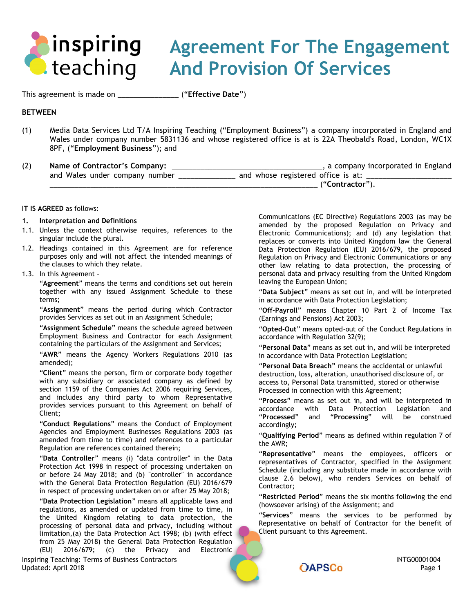

# **Agreement For The Engagement And Provision Of Services**

This agreement is made on \_\_\_\_\_\_\_\_\_\_\_\_\_\_\_ ("**Effective Date**")

## **BETWEEN**

(1) Media Data Services Ltd T/A Inspiring Teaching ("Employment Business") a company incorporated in England and Wales under company number 5831136 and whose registered office is at is 22A Theobald's Road, London, WC1X 8PF, ("**Employment Business**"); and

| (2) | Name of Contractor's Company:  | , a company incorporated in England |
|-----|--------------------------------|-------------------------------------|
|     | and Wales under company number | and whose registered office is at:  |
|     |                                | ("Contractor")                      |

## **IT IS AGREED** as follows:

## <span id="page-0-0"></span>**1. Interpretation and Definitions**

- 1.1. Unless the context otherwise requires, references to the singular include the plural.
- 1.2. Headings contained in this Agreement are for reference purposes only and will not affect the intended meanings of the clauses to which they relate.

### 1.3. In this Agreement –

"**Agreement**" means the terms and conditions set out herein together with any issued Assignment Schedule to these terms;

"**Assignment**" means the period during which Contractor provides Services as set out in an Assignment Schedule;

"**Assignment Schedule**" means the schedule agreed between Employment Business and Contractor for each Assignment containing the particulars of the Assignment and Services;

"**AWR**" means the Agency Workers Regulations 2010 (as amended);

"**Client**" means the person, firm or corporate body together with any subsidiary or associated company as defined by section 1159 of the Companies Act 2006 requiring Services, and includes any third party to whom Representative provides services pursuant to this Agreement on behalf of Client;

"**Conduct Regulations**" means the Conduct of Employment Agencies and Employment Businesses Regulations 2003 (as amended from time to time) and references to a particular Regulation are references contained therein;

"**Data Controller**" means (i) "data controller" in the Data Protection Act 1998 in respect of processing undertaken on or before 24 May 2018; and (b) "controller" in accordance with the General Data Protection Regulation (EU) 2016/679 in respect of processing undertaken on or after 25 May 2018;

"**Data Protection Legislation**" means all applicable laws and regulations, as amended or updated from time to time, in the United Kingdom relating to data protection, the processing of personal data and privacy, including without limitation,(a) the Data Protection Act 1998; (b) (with effect from 25 May 2018) the General Data Protection Regulation (EU) 2016/679; (c) the Privacy and Electronic

Inspiring Teaching: Terms of Business Contractors **INTG0001004**<br>1 Page 1 Page 1 Updated: April 2018 Page 1 **Page 1 Page 1 Page 1 Page 1 Page 1 Page 1** 

Communications (EC Directive) Regulations 2003 (as may be amended by the proposed Regulation on Privacy and Electronic Communications); and (d) any legislation that replaces or converts into United Kingdom law the General Data Protection Regulation (EU) 2016/679, the proposed Regulation on Privacy and Electronic Communications or any other law relating to data protection, the processing of personal data and privacy resulting from the United Kingdom leaving the European Union;

"**Data Subject**" means as set out in, and will be interpreted in accordance with Data Protection Legislation;

"**Off-Payroll**" means Chapter 10 Part 2 of Income Tax (Earnings and Pensions) Act 2003;

"**Opted-Out**" means opted-out of the Conduct Regulations in accordance with Regulation 32(9);

"**Personal Data**" means as set out in, and will be interpreted in accordance with Data Protection Legislation;

"**Personal Data Breach"** means the accidental or unlawful destruction, loss, alteration, unauthorised disclosure of, or access to, Personal Data transmitted, stored or otherwise Processed in connection with this Agreement;

"**Process**" means as set out in, and will be interpreted in accordance with Data Protection Legislation and "**Processed**" and "**Processing**" will be construed accordingly;

"**Qualifying Period**" means as defined within regulation 7 of the AWR;

"**Representative**" means the employees, officers or representatives of Contractor, specified in the Assignment Schedule (including any substitute made in accordance with clause [2.6 below\)](#page-1-0), who renders Services on behalf of Contractor;

"**Restricted Period**" means the six months following the end (howsoever arising) of the Assignment; and

"**Services**" means the services to be performed by Representative on behalf of Contractor for the benefit of Client pursuant to this Agreement.

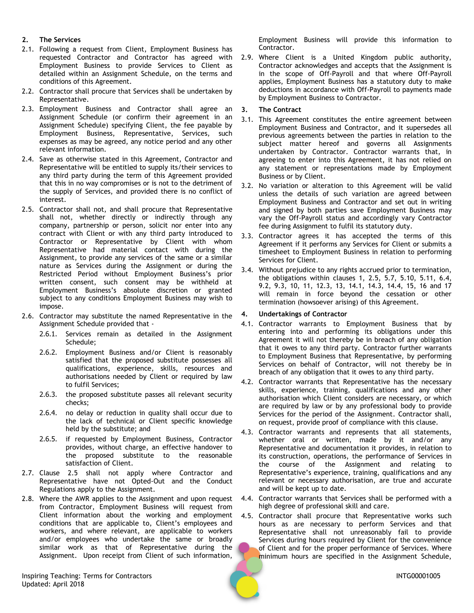## **2. The Services**

- 2.1. Following a request from Client, Employment Business has requested Contractor and Contractor has agreed with Employment Business to provide Services to Client as detailed within an Assignment Schedule, on the terms and conditions of this Agreement.
- 2.2. Contractor shall procure that Services shall be undertaken by Representative.
- 2.3. Employment Business and Contractor shall agree an Assignment Schedule (or confirm their agreement in an Assignment Schedule) specifying Client, the fee payable by Employment Business, Representative, Services, such expenses as may be agreed, any notice period and any other relevant information.
- 2.4. Save as otherwise stated in this Agreement, Contractor and Representative will be entitled to supply its/their services to any third party during the term of this Agreement provided that this in no way compromises or is not to the detriment of the supply of Services, and provided there is no conflict of interest.
- <span id="page-1-1"></span>2.5. Contractor shall not, and shall procure that Representative shall not, whether directly or indirectly through any company, partnership or person, solicit nor enter into any contract with Client or with any third party introduced to Contractor or Representative by Client with whom Representative had material contact with during the Assignment, to provide any services of the same or a similar nature as Services during the Assignment or during the Restricted Period without Employment Business's prior written consent, such consent may be withheld at Employment Business's absolute discretion or granted subject to any conditions Employment Business may wish to impose.
- <span id="page-1-0"></span>2.6. Contractor may substitute the named Representative in the Assignment Schedule provided that -
	- 2.6.1. Services remain as detailed in the Assignment Schedule;
	- 2.6.2. Employment Business and/or Client is reasonably satisfied that the proposed substitute possesses all qualifications, experience, skills, resources and authorisations needed by Client or required by law to fulfil Services;
	- 2.6.3. the proposed substitute passes all relevant security checks;
	- 2.6.4. no delay or reduction in quality shall occur due to the lack of technical or Client specific knowledge held by the substitute; and
	- 2.6.5. if requested by Employment Business, Contractor provides, without charge, an effective handover to the proposed substitute to the reasonable satisfaction of Client.
- 2.7. Clause [2.5](#page-1-1) shall not apply where Contractor and Representative have not Opted-Out and the Conduct Regulations apply to the Assignment.
- 2.8. Where the AWR applies to the Assignment and upon request from Contractor, Employment Business will request from Client information about the working and employment conditions that are applicable to, Client's employees and workers, and where relevant, are applicable to workers and/or employees who undertake the same or broadly similar work as that of Representative during the Assignment. Upon receipt from Client of such information,

Inspiring Teaching: Terms for Contractors **INTG00001005** Updated: April 2018

Employment Business will provide this information to Contractor.

2.9. Where Client is a United Kingdom public authority, Contractor acknowledges and accepts that the Assignment is in the scope of Off-Payroll and that where Off-Payroll applies, Employment Business has a statutory duty to make deductions in accordance with Off-Payroll to payments made by Employment Business to Contractor.

## **3. The Contract**

- 3.1. This Agreement constitutes the entire agreement between Employment Business and Contractor, and it supersedes all previous agreements between the parties in relation to the subject matter hereof and governs all Assignments undertaken by Contractor. Contractor warrants that, in agreeing to enter into this Agreement, it has not relied on any statement or representations made by Employment Business or by Client.
- 3.2. No variation or alteration to this Agreement will be valid unless the details of such variation are agreed between Employment Business and Contractor and set out in writing and signed by both parties save Employment Business may vary the Off-Payroll status and accordingly vary Contractor fee during Assignment to fulfil its statutory duty.
- 3.3. Contractor agrees it has accepted the terms of this Agreement if it performs any Services for Client or submits a timesheet to Employment Business in relation to performing Services for Client.
- <span id="page-1-3"></span>3.4. Without prejudice to any rights accrued prior to termination, the obligations within clauses [1,](#page-0-0) [2.5,](#page-1-1) [5.7,](#page-2-0) [5.10,](#page-3-0) [5.11,](#page-3-1) [6.4,](#page-3-2) [9.2,](#page-4-0) [9.3,](#page-5-0) [10,](#page-5-1) [11,](#page-5-2) [12.3,](#page-6-0) [13,](#page-6-1) [14.1,](#page-6-2) [14.3,](#page-7-0) [14.4,](#page-7-1) [15,](#page-7-2) [16](#page-7-3) and [17](#page-8-0) will remain in force beyond the cessation or other termination (howsoever arising) of this Agreement.

## <span id="page-1-2"></span>**4. Undertakings of Contractor**

- 4.1. Contractor warrants to Employment Business that by entering into and performing its obligations under this Agreement it will not thereby be in breach of any obligation that it owes to any third party. Contractor further warrants to Employment Business that Representative, by performing Services on behalf of Contractor, will not thereby be in breach of any obligation that it owes to any third party.
- 4.2. Contractor warrants that Representative has the necessary skills, experience, training, qualifications and any other authorisation which Client considers are necessary, or which are required by law or by any professional body to provide Services for the period of the Assignment. Contractor shall, on request, provide proof of compliance with this clause.
- 4.3. Contractor warrants and represents that all statements, whether oral or written, made by it and/or any Representative and documentation it provides, in relation to its construction, operations, the performance of Services in the course of the Assignment and relating to Representative's experience, training, qualifications and any relevant or necessary authorisation, are true and accurate and will be kept up to date.
- 4.4. Contractor warrants that Services shall be performed with a high degree of professional skill and care.
- 4.5. Contractor shall procure that Representative works such hours as are necessary to perform Services and that Representative shall not unreasonably fail to provide Services during hours required by Client for the convenience of Client and for the proper performance of Services. Where minimum hours are specified in the Assignment Schedule,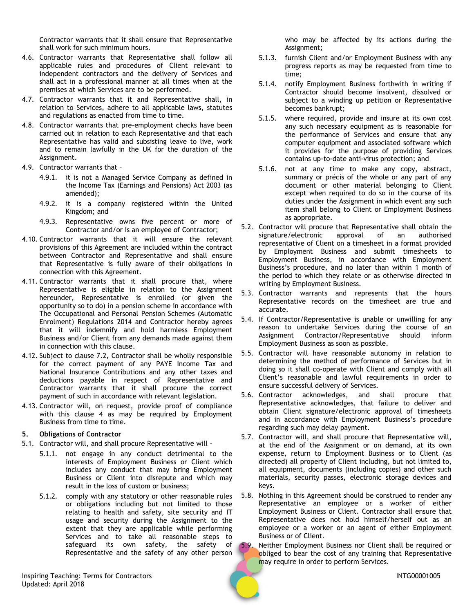Contractor warrants that it shall ensure that Representative shall work for such minimum hours.

- 4.6. Contractor warrants that Representative shall follow all applicable rules and procedures of Client relevant to independent contractors and the delivery of Services and shall act in a professional manner at all times when at the premises at which Services are to be performed.
- 4.7. Contractor warrants that it and Representative shall, in relation to Services, adhere to all applicable laws, statutes and regulations as enacted from time to time.
- 4.8. Contractor warrants that pre-employment checks have been carried out in relation to each Representative and that each Representative has valid and subsisting leave to live, work and to remain lawfully in the UK for the duration of the Assignment.
- 4.9. Contractor warrants that
	- 4.9.1. it is not a Managed Service Company as defined in the Income Tax (Earnings and Pensions) Act 2003 (as amended);
	- 4.9.2. it is a company registered within the United Kingdom; and
	- 4.9.3. Representative owns five percent or more of Contractor and/or is an employee of Contractor;
- 4.10. Contractor warrants that it will ensure the relevant provisions of this Agreement are included within the contract between Contractor and Representative and shall ensure that Representative is fully aware of their obligations in connection with this Agreement.
- 4.11. Contractor warrants that it shall procure that, where Representative is eligible in relation to the Assignment hereunder, Representative is enrolled (or given the opportunity so to do) in a pension scheme in accordance with The Occupational and Personal Pension Schemes (Automatic Enrolment) Regulations 2014 and Contractor hereby agrees that it will indemnify and hold harmless Employment Business and/or Client from any demands made against them in connection with this clause.
- 4.12. Subject to clause [7.2,](#page-3-3) Contractor shall be wholly responsible for the correct payment of any PAYE Income Tax and National Insurance Contributions and any other taxes and deductions payable in respect of Representative and Contractor warrants that it shall procure the correct payment of such in accordance with relevant legislation.
- 4.13. Contractor will, on request, provide proof of compliance with this clause [4](#page-1-2) as may be required by Employment Business from time to time.

## **5. Obligations of Contractor**

- 5.1. Contractor will, and shall procure Representative will
	- 5.1.1. not engage in any conduct detrimental to the interests of Employment Business or Client which includes any conduct that may bring Employment Business or Client into disrepute and which may result in the loss of custom or business;
	- 5.1.2. comply with any statutory or other reasonable rules or obligations including but not limited to those relating to health and safety, site security and IT usage and security during the Assignment to the extent that they are applicable while performing Services and to take all reasonable steps to safeguard its own safety, the safety of Representative and the safety of any other person

Inspiring Teaching: Terms for Contractors **INTG00001005** Updated: April 2018

who may be affected by its actions during the Assignment;

- 5.1.3. furnish Client and/or Employment Business with any progress reports as may be requested from time to time;
- 5.1.4. notify Employment Business forthwith in writing if Contractor should become insolvent, dissolved or subject to a winding up petition or Representative becomes bankrupt;
- 5.1.5. where required, provide and insure at its own cost any such necessary equipment as is reasonable for the performance of Services and ensure that any computer equipment and associated software which it provides for the purpose of providing Services contains up-to-date anti-virus protection; and
- 5.1.6. not at any time to make any copy, abstract, summary or précis of the whole or any part of any document or other material belonging to Client except when required to do so in the course of its duties under the Assignment in which event any such item shall belong to Client or Employment Business as appropriate.
- 5.2. Contractor will procure that Representative shall obtain the signature/electronic approval of an authorised representative of Client on a timesheet in a format provided by Employment Business and submit timesheets to Employment Business, in accordance with Employment Business's procedure, and no later than within 1 month of the period to which they relate or as otherwise directed in writing by Employment Business.
- 5.3. Contractor warrants and represents that the hours Representative records on the timesheet are true and accurate.
- 5.4. If Contractor/Representative is unable or unwilling for any reason to undertake Services during the course of an Assignment Contractor/Representative should inform Employment Business as soon as possible.
- 5.5. Contractor will have reasonable autonomy in relation to determining the method of performance of Services but in doing so it shall co-operate with Client and comply with all Client's reasonable and lawful requirements in order to ensure successful delivery of Services.
- 5.6. Contractor acknowledges, and shall procure that Representative acknowledges, that failure to deliver and obtain Client signature/electronic approval of timesheets and in accordance with Employment Business's procedure regarding such may delay payment.
- <span id="page-2-0"></span>5.7. Contractor will, and shall procure that Representative will, at the end of the Assignment or on demand, at its own expense, return to Employment Business or to Client (as directed) all property of Client including, but not limited to, all equipment, documents (including copies) and other such materials, security passes, electronic storage devices and keys.
- 5.8. Nothing in this Agreement should be construed to render any Representative an employee or a worker of either Employment Business or Client. Contractor shall ensure that Representative does not hold himself/herself out as an employee or a worker or an agent of either Employment Business or of Client.
- 5.9. Neither Employment Business nor Client shall be required or obliged to bear the cost of any training that Representative may require in order to perform Services.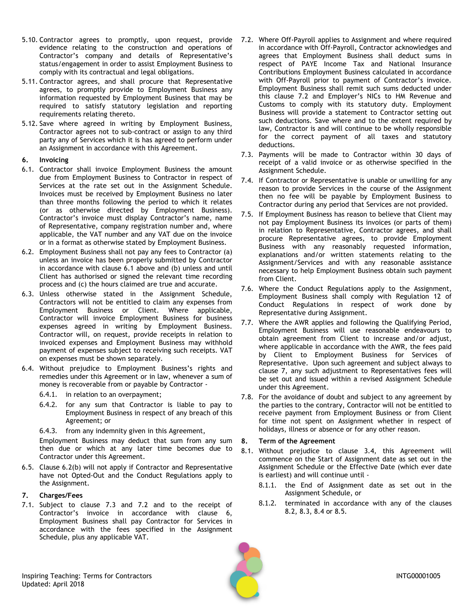- <span id="page-3-0"></span>5.10. Contractor agrees to promptly, upon request, provide evidence relating to the construction and operations of Contractor's company and details of Representative's status/engagement in order to assist Employment Business to comply with its contractual and legal obligations.
- <span id="page-3-1"></span>5.11. Contractor agrees, and shall procure that Representative agrees, to promptly provide to Employment Business any information requested by Employment Business that may be required to satisfy statutory legislation and reporting requirements relating thereto.
- 5.12. Save where agreed in writing by Employment Business, Contractor agrees not to sub-contract or assign to any third party any of Services which it is has agreed to perform under an Assignment in accordance with this Agreement.
- <span id="page-3-7"></span>**6. Invoicing**
- <span id="page-3-4"></span>6.1. Contractor shall invoice Employment Business the amount due from Employment Business to Contractor in respect of Services at the rate set out in the Assignment Schedule. Invoices must be received by Employment Business no later than three months following the period to which it relates (or as otherwise directed by Employment Business). Contractor's invoice must display Contractor's name, name of Representative, company registration number and, where applicable, the VAT number and any VAT due on the invoice or in a format as otherwise stated by Employment Business.
- <span id="page-3-5"></span>6.2. Employment Business shall not pay any fees to Contractor (a) unless an invoice has been properly submitted by Contractor in accordance with clause [6.1 above](#page-3-4) and (b) unless and until Client has authorised or signed the relevant time recording process and (c) the hours claimed are true and accurate.
- 6.3. Unless otherwise stated in the Assignment Schedule, Contractors will not be entitled to claim any expenses from Employment Business or Client. Where applicable, Contractor will invoice Employment Business for business expenses agreed in writing by Employment Business. Contractor will, on request, provide receipts in relation to invoiced expenses and Employment Business may withhold payment of expenses subject to receiving such receipts. VAT on expenses must be shown separately.
- <span id="page-3-2"></span>6.4. Without prejudice to Employment Business's rights and remedies under this Agreement or in law, whenever a sum of money is recoverable from or payable by Contractor -
	- 6.4.1. in relation to an overpayment;
	- 6.4.2. for any sum that Contractor is liable to pay to Employment Business in respect of any breach of this Agreement; or
	- 6.4.3. from any indemnity given in this Agreement,

Employment Business may deduct that sum from any sum then due or which at any later time becomes due to Contractor under this Agreement.

6.5. Clause [6.2\(](#page-3-5)b) will not apply if Contractor and Representative have not Opted-Out and the Conduct Regulations apply to the Assignment.

## <span id="page-3-8"></span>**7. Charges/Fees**

7.1. Subject to clause [7.3](#page-3-6) and [7.2](#page-3-3) and to the receipt of Contractor's invoice in accordance with clause [6,](#page-3-7) Employment Business shall pay Contractor for Services in accordance with the fees specified in the Assignment Schedule, plus any applicable VAT.

- <span id="page-3-3"></span>7.2. Where Off-Payroll applies to Assignment and where required in accordance with Off-Payroll, Contractor acknowledges and agrees that Employment Business shall deduct sums in respect of PAYE Income Tax and National Insurance Contributions Employment Business calculated in accordance with Off-Payroll prior to payment of Contractor's invoice. Employment Business shall remit such sums deducted under this clause [7.2](#page-3-3) and Employer's NICs to HM Revenue and Customs to comply with its statutory duty. Employment Business will provide a statement to Contractor setting out such deductions. Save where and to the extent required by law, Contractor is and will continue to be wholly responsible for the correct payment of all taxes and statutory deductions.
- <span id="page-3-6"></span>7.3. Payments will be made to Contractor within 30 days of receipt of a valid invoice or as otherwise specified in the Assignment Schedule.
- 7.4. If Contractor or Representative is unable or unwilling for any reason to provide Services in the course of the Assignment then no fee will be payable by Employment Business to Contractor during any period that Services are not provided.
- 7.5. If Employment Business has reason to believe that Client may not pay Employment Business its invoices (or parts of them) in relation to Representative, Contractor agrees, and shall procure Representative agrees, to provide Employment Business with any reasonably requested information, explanations and/or written statements relating to the Assignment/Services and with any reasonable assistance necessary to help Employment Business obtain such payment from Client.
- 7.6. Where the Conduct Regulations apply to the Assignment, Employment Business shall comply with Regulation 12 of Conduct Regulations in respect of work done by Representative during Assignment.
- 7.7. Where the AWR applies and following the Qualifying Period, Employment Business will use reasonable endeavours to obtain agreement from Client to increase and/or adjust, where applicable in accordance with the AWR, the fees paid by Client to Employment Business for Services of Representative. Upon such agreement and subject always to clause [7,](#page-3-8) any such adjustment to Representatives fees will be set out and issued within a revised Assignment Schedule under this Agreement.
- 7.8. For the avoidance of doubt and subject to any agreement by the parties to the contrary, Contractor will not be entitled to receive payment from Employment Business or from Client for time not spent on Assignment whether in respect of holidays, illness or absence or for any other reason.

## <span id="page-3-9"></span>**8. Term of the Agreement**

- 8.1. Without prejudice to clause [3.4,](#page-1-3) this Agreement will commence on the Start of Assignment date as set out in the Assignment Schedule or the Effective Date (which ever date is earliest) and will continue until -
	- 8.1.1. the End of Assignment date as set out in the Assignment Schedule, or
	- 8.1.2. terminated in accordance with any of the clauses [8.2,](#page-4-1) [8.3,](#page-4-2) [8.4](#page-4-3) or [8.5.](#page-4-4)

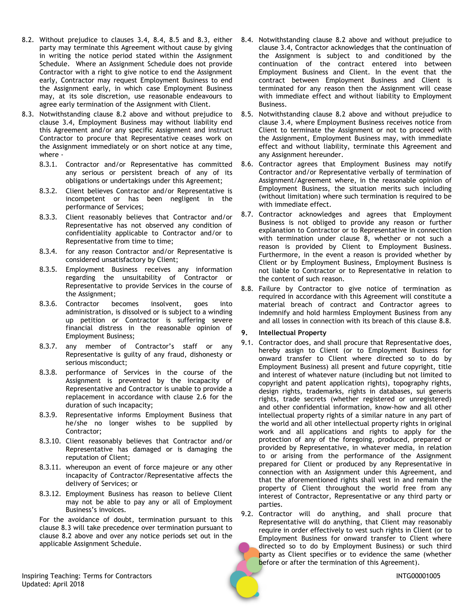- <span id="page-4-1"></span>8.2. Without prejudice to clauses [3.4,](#page-1-3) [8.4,](#page-4-3) [8.5](#page-4-4) and [8.3,](#page-4-2) either party may terminate this Agreement without cause by giving in writing the notice period stated within the Assignment Schedule. Where an Assignment Schedule does not provide Contractor with a right to give notice to end the Assignment early, Contractor may request Employment Business to end the Assignment early, in which case Employment Business may, at its sole discretion, use reasonable endeavours to agree early termination of the Assignment with Client.
- <span id="page-4-2"></span>8.3. Notwithstanding clause [8.2 above](#page-4-1) and without prejudice to clause [3.4,](#page-1-3) Employment Business may without liability end this Agreement and/or any specific Assignment and instruct Contractor to procure that Representative ceases work on the Assignment immediately or on short notice at any time, where -
	- 8.3.1. Contractor and/or Representative has committed any serious or persistent breach of any of its obligations or undertakings under this Agreement;
	- 8.3.2. Client believes Contractor and/or Representative is incompetent or has been negligent in the performance of Services;
	- 8.3.3. Client reasonably believes that Contractor and/or Representative has not observed any condition of confidentiality applicable to Contractor and/or to Representative from time to time;
	- 8.3.4. for any reason Contractor and/or Representative is considered unsatisfactory by Client;
	- 8.3.5. Employment Business receives any information regarding the unsuitability of Contractor or Representative to provide Services in the course of the Assignment;
	- 8.3.6. Contractor becomes insolvent, goes into administration, is dissolved or is subject to a winding up petition or Contractor is suffering severe financial distress in the reasonable opinion of Employment Business;
	- 8.3.7. any member of Contractor's staff or any Representative is guilty of any fraud, dishonesty or serious misconduct;
	- 8.3.8. performance of Services in the course of the Assignment is prevented by the incapacity of Representative and Contractor is unable to provide a replacement in accordance with clause [2.6](#page-1-0) for the duration of such incapacity;
	- 8.3.9. Representative informs Employment Business that he/she no longer wishes to be supplied by Contractor;
	- 8.3.10. Client reasonably believes that Contractor and/or Representative has damaged or is damaging the reputation of Client;
	- 8.3.11. whereupon an event of force majeure or any other incapacity of Contractor/Representative affects the delivery of Services; or
	- 8.3.12. Employment Business has reason to believe Client may not be able to pay any or all of Employment Business's invoices.

For the avoidance of doubt, termination pursuant to this clause [8.3](#page-4-2) will take precedence over termination pursuant to clause [8.2](#page-4-1) above and over any notice periods set out in the applicable Assignment Schedule.

- <span id="page-4-3"></span>8.4. Notwithstanding clause 8.2 [above](#page-4-1) and without prejudice to clause [3.4,](#page-1-3) Contractor acknowledges that the continuation of the Assignment is subject to and conditioned by the continuation of the contract entered into between Employment Business and Client. In the event that the contract between Employment Business and Client is terminated for any reason then the Assignment will cease with immediate effect and without liability to Employment Business.
- <span id="page-4-4"></span>8.5. Notwithstanding clause [8.2 above](#page-4-1) and without prejudice to clause [3.4,](#page-1-3) where Employment Business receives notice from Client to terminate the Assignment or not to proceed with the Assignment, Employment Business may, with immediate effect and without liability, terminate this Agreement and any Assignment hereunder.
- <span id="page-4-7"></span>8.6. Contractor agrees that Employment Business may notify Contractor and/or Representative verbally of termination of Assignment/Agreement where, in the reasonable opinion of Employment Business, the situation merits such including (without limitation) where such termination is required to be with immediate effect.
- 8.7. Contractor acknowledges and agrees that Employment Business is not obliged to provide any reason or further explanation to Contractor or to Representative in connection with termination under clause [8,](#page-3-9) whether or not such a reason is provided by Client to Employment Business. Furthermore, in the event a reason is provided whether by Client or by Employment Business, Employment Business is not liable to Contractor or to Representative in relation to the content of such reason.
- <span id="page-4-5"></span>8.8. Failure by Contractor to give notice of termination as required in accordance with this Agreement will constitute a material breach of contract and Contractor agrees to indemnify and hold harmless Employment Business from any and all losses in connection with its breach of this clause [8.8.](#page-4-5)

## <span id="page-4-6"></span>**9. Intellectual Property**

- 9.1. Contractor does, and shall procure that Representative does, hereby assign to Client (or to Employment Business for onward transfer to Client where directed so to do by Employment Business) all present and future copyright, title and interest of whatever nature (including but not limited to copyright and patent application rights), topography rights, design rights, trademarks, rights in databases, sui generis rights, trade secrets (whether registered or unregistered) and other confidential information, know-how and all other intellectual property rights of a similar nature in any part of the world and all other intellectual property rights in original work and all applications and rights to apply for the protection of any of the foregoing, produced, prepared or provided by Representative, in whatever media, in relation to or arising from the performance of the Assignment prepared for Client or produced by any Representative in connection with an Assignment under this Agreement, and that the aforementioned rights shall vest in and remain the property of Client throughout the world free from any interest of Contractor, Representative or any third party or parties.
- <span id="page-4-0"></span>9.2. Contractor will do anything, and shall procure that Representative will do anything, that Client may reasonably require in order effectively to vest such rights in Client (or to Employment Business for onward transfer to Client where directed so to do by Employment Business) or such third party as Client specifies or to evidence the same (whether before or after the termination of this Agreement).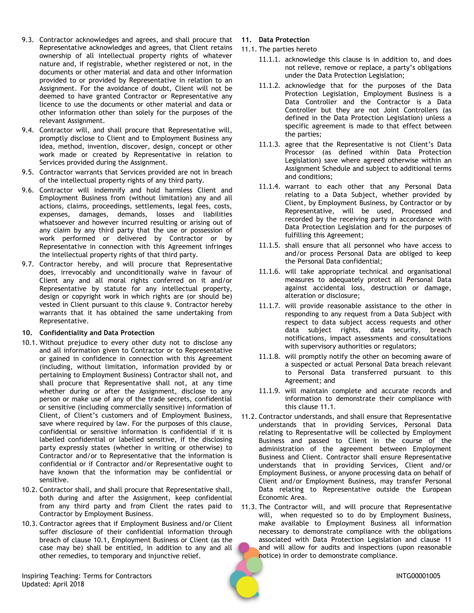- <span id="page-5-0"></span>9.3. Contractor acknowledges and agrees, and shall procure that Representative acknowledges and agrees, that Client retains ownership of all intellectual property rights of whatever nature and, if registrable, whether registered or not, in the documents or other material and data and other information provided to or provided by Representative in relation to an Assignment. For the avoidance of doubt, Client will not be deemed to have granted Contractor or Representative any licence to use the documents or other material and data or other information other than solely for the purposes of the relevant Assignment.
- 9.4. Contractor will, and shall procure that Representative will, promptly disclose to Client and to Employment Business any idea, method, invention, discover, design, concept or other work made or created by Representative in relation to Services provided during the Assignment.
- 9.5. Contractor warrants that Services provided are not in breach of the intellectual property rights of any third party.
- 9.6. Contractor will indemnify and hold harmless Client and Employment Business from (without limitation) any and all actions, claims, proceedings, settlements, legal fees, costs, expenses, damages, demands, losses and liabilities whatsoever and however incurred resulting or arising out of any claim by any third party that the use or possession of work performed or delivered by Contractor or by Representative in connection with this Agreement infringes the intellectual property rights of that third party.
- 9.7. Contractor hereby, and will procure that Representative does, irrevocably and unconditionally waive in favour of Client any and all moral rights conferred on it and/or Representative by statute for any intellectual property, design or copyright work in which rights are (or should be) vested in Client pursuant to this clause [9](#page-4-6). Contractor hereby warrants that it has obtained the same undertaking from Representative.

## <span id="page-5-1"></span>**10. Confidentiality and Data Protection**

- <span id="page-5-3"></span>10.1. Without prejudice to every other duty not to disclose any and all information given to Contractor or to Representative or gained in confidence in connection with this Agreement (including, without limitation, information provided by or pertaining to Employment Business) Contractor shall not, and shall procure that Representative shall not, at any time whether during or after the Assignment, disclose to any person or make use of any of the trade secrets, confidential or sensitive (including commercially sensitive) information of Client, of Client's customers and of Employment Business, save where required by law. For the purposes of this clause, confidential or sensitive information is confidential if it is labelled confidential or labelled sensitive, if the disclosing party expressly states (whether in writing or otherwise) to Contractor and/or to Representative that the information is confidential or if Contractor and/or Representative ought to have known that the information may be confidential or sensitive.
- 10.2. Contractor shall, and shall procure that Representative shall, both during and after the Assignment, keep confidential from any third party and from Client the rates paid to Contractor by Employment Business.
- 10.3. Contractor agrees that if Employment Business and/or Client suffer disclosure of their confidential information through breach of clause [10.1,](#page-5-3) Employment Business or Client (as the case may be) shall be entitled, in addition to any and all other remedies, to temporary and injunctive relief.
- <span id="page-5-2"></span>**11. Data Protection**
- <span id="page-5-4"></span>11.1. The parties hereto
	- 11.1.1. acknowledge this clause is in addition to, and does not relieve, remove or replace, a party's obligations under the Data Protection Legislation;
	- 11.1.2. acknowledge that for the purposes of the Data Protection Legislation, Employment Business is a Data Controller and the Contractor is a Data Controller but they are not Joint Controllers (as defined in the Data Protection Legislation) unless a specific agreement is made to that effect between the parties;
	- 11.1.3. agree that the Representative is not Client's Data Processor (as defined within Data Protection Legislation) save where agreed otherwise within an Assignment Schedule and subject to additional terms and conditions;
	- 11.1.4. warrant to each other that any Personal Data relating to a Data Subject, whether provided by Client, by Employment Business, by Contractor or by Representative, will be used, Processed and recorded by the receiving party in accordance with Data Protection Legislation and for the purposes of fulfilling this Agreement;
	- 11.1.5. shall ensure that all personnel who have access to and/or process Personal Data are obliged to keep the Personal Data confidential;
	- 11.1.6. will take appropriate technical and organisational measures to adequately protect all Personal Data against accidental loss, destruction or damage, alteration or disclosure;
	- 11.1.7. will provide reasonable assistance to the other in responding to any request from a Data Subject with respect to data subject access requests and other data subject rights, data security, breach notifications, impact assessments and consultations with supervisory authorities or regulators;
	- 11.1.8. will promptly notify the other on becoming aware of a suspected or actual Personal Data breach relevant to Personal Data transferred pursuant to this Agreement; and
	- 11.1.9. will maintain complete and accurate records and information to demonstrate their compliance with this clause [11.1](#page-5-4).
- <span id="page-5-6"></span><span id="page-5-5"></span>11.2. Contractor understands, and shall ensure that Representative understands that in providing Services, Personal Data relating to Representative will be collected by Employment Business and passed to Client in the course of the administration of the agreement between Employment Business and Client. Contractor shall ensure Representative understands that in providing Services, Client and/or Employment Business, or anyone processing data on behalf of Client and/or Employment Business, may transfer Personal Data relating to Representative outside the European Economic Area.
- 11.3. The Contractor will, and will procure that Representative will, when requested so to do by Employment Business, make available to Employment Business all information necessary to demonstrate compliance with the obligations associated with Data Protection Legislation and clause [11](#page-5-2) and will allow for audits and inspections (upon reasonable notice) in order to demonstrate compliance.

Inspiring Teaching: Terms for Contractors **INTG00001005** Updated: April 2018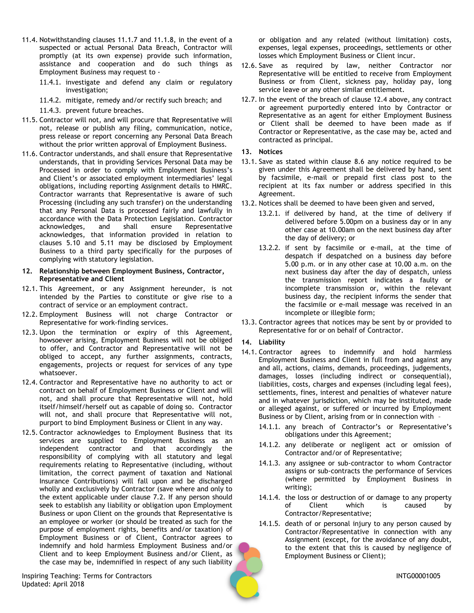- 11.4. Notwithstanding clauses [11.1.7](#page-5-5) and [11.1.8,](#page-5-6) in the event of a suspected or actual Personal Data Breach, Contractor will promptly (at its own expense) provide such information, assistance and cooperation and do such things as Employment Business may request to -
	- 11.4.1. investigate and defend any claim or regulatory investigation;
	- 11.4.2. mitigate, remedy and/or rectify such breach; and
	- 11.4.3. prevent future breaches.
- 11.5. Contractor will not, and will procure that Representative will not, release or publish any filing, communication, notice, press release or report concerning any Personal Data Breach without the prior written approval of Employment Business.
- 11.6. Contractor understands, and shall ensure that Representative understands, that in providing Services Personal Data may be Processed in order to comply with Employment Business's and Client's or associated employment intermediaries' legal obligations, including reporting Assignment details to HMRC. Contractor warrants that Representative is aware of such Processing (including any such transfer) on the understanding that any Personal Data is processed fairly and lawfully in accordance with the Data Protection Legislation. Contractor acknowledges, and shall ensure Representative acknowledges, that information provided in relation to clauses [5.10](#page-3-0) and [5.11](#page-3-1) may be disclosed by Employment Business to a third party specifically for the purposes of complying with statutory legislation.
- **12. Relationship between Employment Business, Contractor, Representative and Client**
- 12.1. This Agreement, or any Assignment hereunder, is not intended by the Parties to constitute or give rise to a contract of service or an employment contract.
- 12.2. Employment Business will not charge Contractor or Representative for work-finding services.
- <span id="page-6-0"></span>12.3. Upon the termination or expiry of this Agreement, howsoever arising, Employment Business will not be obliged to offer, and Contractor and Representative will not be obliged to accept, any further assignments, contracts, engagements, projects or request for services of any type whatsoever.
- <span id="page-6-3"></span>12.4. Contractor and Representative have no authority to act or contract on behalf of Employment Business or Client and will not, and shall procure that Representative will not, hold itself/himself/herself out as capable of doing so. Contractor will not, and shall procure that Representative will not, purport to bind Employment Business or Client in any way.
- 12.5. Contractor acknowledges to Employment Business that its services are supplied to Employment Business as an independent contractor and that accordingly the responsibility of complying with all statutory and legal requirements relating to Representative (including, without limitation, the correct payment of taxation and National Insurance Contributions) will fall upon and be discharged wholly and exclusively by Contractor (save where and only to the extent applicable under clause [7.2.](#page-3-3) If any person should seek to establish any liability or obligation upon Employment Business or upon Client on the grounds that Representative is an employee or worker (or should be treated as such for the purpose of employment rights, benefits and/or taxation) of Employment Business or of Client, Contractor agrees to indemnify and hold harmless Employment Business and/or Client and to keep Employment Business and/or Client, as the case may be, indemnified in respect of any such liability

Inspiring Teaching: Terms for Contractors **INTG00001005** Updated: April 2018

or obligation and any related (without limitation) costs, expenses, legal expenses, proceedings, settlements or other losses which Employment Business or Client incur.

- 12.6. Save as required by law, neither Contractor nor Representative will be entitled to receive from Employment Business or from Client, sickness pay, holiday pay, long service leave or any other similar entitlement.
- 12.7. In the event of the breach of clause [12.4](#page-6-3) above, any contract or agreement purportedly entered into by Contractor or Representative as an agent for either Employment Business or Client shall be deemed to have been made as if Contractor or Representative, as the case may be, acted and contracted as principal.
- <span id="page-6-1"></span>**13. Notices**
- 13.1. Save as stated within clause [8.6](#page-4-7) any notice required to be given under this Agreement shall be delivered by hand, sent by facsimile, e-mail or prepaid first class post to the recipient at its fax number or address specified in this Agreement.
- 13.2. Notices shall be deemed to have been given and served,
	- 13.2.1. if delivered by hand, at the time of delivery if delivered before 5.00pm on a business day or in any other case at 10.00am on the next business day after the day of delivery; or
	- 13.2.2. if sent by facsimile or e-mail, at the time of despatch if despatched on a business day before 5.00 p.m. or in any other case at 10.00 a.m. on the next business day after the day of despatch, unless the transmission report indicates a faulty or incomplete transmission or, within the relevant business day, the recipient informs the sender that the facsimile or e-mail message was received in an incomplete or illegible form;
- 13.3. Contractor agrees that notices may be sent by or provided to Representative for or on behalf of Contractor.
- **14. Liability**
- <span id="page-6-2"></span>14.1. Contractor agrees to indemnify and hold harmless Employment Business and Client in full from and against any and all, actions, claims, demands, proceedings, judgements, damages, losses (including indirect or consequential), liabilities, costs, charges and expenses (including legal fees), settlements, fines, interest and penalties of whatever nature and in whatever jurisdiction, which may be instituted, made or alleged against, or suffered or incurred by Employment Business or by Client, arising from or in connection with –
	- 14.1.1. any breach of Contractor's or Representative's obligations under this Agreement;
	- 14.1.2. any deliberate or negligent act or omission of Contractor and/or of Representative;
	- 14.1.3. any assignee or sub-contractor to whom Contractor assigns or sub-contracts the performance of Services (where permitted by Employment Business in writing);
	- 14.1.4. the loss or destruction of or damage to any property of Client which is caused by Contractor/Representative;
	- 14.1.5. death of or personal injury to any person caused by Contractor/Representative in connection with any Assignment (except, for the avoidance of any doubt, to the extent that this is caused by negligence of Employment Business or Client);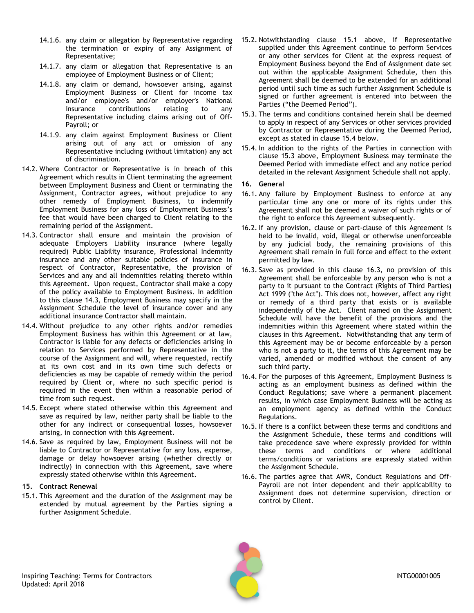- 14.1.6. any claim or allegation by Representative regarding the termination or expiry of any Assignment of Representative;
- 14.1.7. any claim or allegation that Representative is an employee of Employment Business or of Client;
- 14.1.8. any claim or demand, howsoever arising, against Employment Business or Client for income tax and/or employee's and/or employer's National insurance contributions relating to any Representative including claims arising out of Off-Payroll; or
- 14.1.9. any claim against Employment Business or Client arising out of any act or omission of any Representative including (without limitation) any act of discrimination.
- 14.2. Where Contractor or Representative is in breach of this Agreement which results in Client terminating the agreement between Employment Business and Client or terminating the Assignment, Contractor agrees, without prejudice to any other remedy of Employment Business, to indemnify Employment Business for any loss of Employment Business's fee that would have been charged to Client relating to the remaining period of the Assignment.
- <span id="page-7-0"></span>14.3. Contractor shall ensure and maintain the provision of adequate Employers Liability insurance (where legally required) Public Liability insurance, Professional Indemnity insurance and any other suitable policies of insurance in respect of Contractor, Representative, the provision of Services and any and all indemnities relating thereto within this Agreement. Upon request, Contractor shall make a copy of the policy available to Employment Business. In addition to this clause [14.3,](#page-7-0) Employment Business may specify in the Assignment Schedule the level of insurance cover and any additional insurance Contractor shall maintain.
- <span id="page-7-1"></span>14.4. Without prejudice to any other rights and/or remedies Employment Business has within this Agreement or at law, Contractor is liable for any defects or deficiencies arising in relation to Services performed by Representative in the course of the Assignment and will, where requested, rectify at its own cost and in its own time such defects or deficiencies as may be capable of remedy within the period required by Client or, where no such specific period is required in the event then within a reasonable period of time from such request.
- 14.5. Except where stated otherwise within this Agreement and save as required by law, neither party shall be liable to the other for any indirect or consequential losses, howsoever arising, in connection with this Agreement.
- 14.6. Save as required by law, Employment Business will not be liable to Contractor or Representative for any loss, expense, damage or delay howsoever arising (whether directly or indirectly) in connection with this Agreement, save where expressly stated otherwise within this Agreement.

### <span id="page-7-2"></span>**15. Contract Renewal**

<span id="page-7-4"></span>15.1. This Agreement and the duration of the Assignment may be extended by mutual agreement by the Parties signing a further Assignment Schedule.

- 15.2. Notwithstanding clause [15.1](#page-7-4) above, if Representative supplied under this Agreement continue to perform Services or any other services for Client at the express request of Employment Business beyond the End of Assignment date set out within the applicable Assignment Schedule, then this Agreement shall be deemed to be extended for an additional period until such time as such further Assignment Schedule is signed or further agreement is entered into between the Parties ("the Deemed Period").
- <span id="page-7-6"></span>15.3. The terms and conditions contained herein shall be deemed to apply in respect of any Services or other services provided by Contractor or Representative during the Deemed Period, except as stated in clause [15.4](#page-7-5) below.
- <span id="page-7-5"></span>15.4. In addition to the rights of the Parties in connection with clause [15.3](#page-7-6) above, Employment Business may terminate the Deemed Period with immediate effect and any notice period detailed in the relevant Assignment Schedule shall not apply.

### <span id="page-7-3"></span>**16. General**

- 16.1. Any failure by Employment Business to enforce at any particular time any one or more of its rights under this Agreement shall not be deemed a waiver of such rights or of the right to enforce this Agreement subsequently.
- 16.2. If any provision, clause or part-clause of this Agreement is held to be invalid, void, illegal or otherwise unenforceable by any judicial body, the remaining provisions of this Agreement shall remain in full force and effect to the extent permitted by law.
- <span id="page-7-7"></span>16.3. Save as provided in this clause [16.3,](#page-7-7) no provision of this Agreement shall be enforceable by any person who is not a party to it pursuant to the Contract (Rights of Third Parties) Act 1999 ("the Act"). This does not, however, affect any right or remedy of a third party that exists or is available independently of the Act. Client named on the Assignment Schedule will have the benefit of the provisions and the indemnities within this Agreement where stated within the clauses in this Agreement. Notwithstanding that any term of this Agreement may be or become enforceable by a person who is not a party to it, the terms of this Agreement may be varied, amended or modified without the consent of any such third party.
- 16.4. For the purposes of this Agreement, Employment Business is acting as an employment business as defined within the Conduct Regulations; save where a permanent placement results, in which case Employment Business will be acting as an employment agency as defined within the Conduct Regulations.
- 16.5. If there is a conflict between these terms and conditions and the Assignment Schedule, these terms and conditions will take precedence save where expressly provided for within these terms and conditions or where additional terms/conditions or variations are expressly stated within the Assignment Schedule.
- 16.6. The parties agree that AWR, Conduct Regulations and Off-Payroll are not inter dependent and their applicability to Assignment does not determine supervision, direction or control by Client.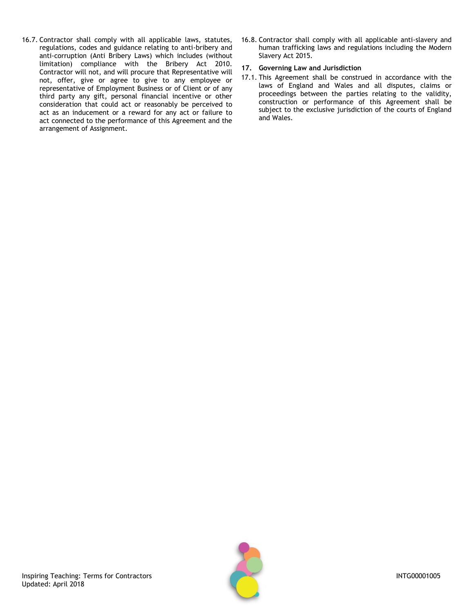- 16.7. Contractor shall comply with all applicable laws, statutes, regulations, codes and guidance relating to anti-bribery and anti-corruption (Anti Bribery Laws) which includes (without limitation) compliance with the Bribery Act 2010. Contractor will not, and will procure that Representative will not, offer, give or agree to give to any employee or representative of Employment Business or of Client or of any third party any gift, personal financial incentive or other consideration that could act or reasonably be perceived to act as an inducement or a reward for any act or failure to act connected to the performance of this Agreement and the arrangement of Assignment.
- 16.8. Contractor shall comply with all applicable anti-slavery and human trafficking laws and regulations including the Modern Slavery Act 2015.

## <span id="page-8-0"></span>**17. Governing Law and Jurisdiction**

17.1. This Agreement shall be construed in accordance with the laws of England and Wales and all disputes, claims or proceedings between the parties relating to the validity, construction or performance of this Agreement shall be subject to the exclusive jurisdiction of the courts of England and Wales.